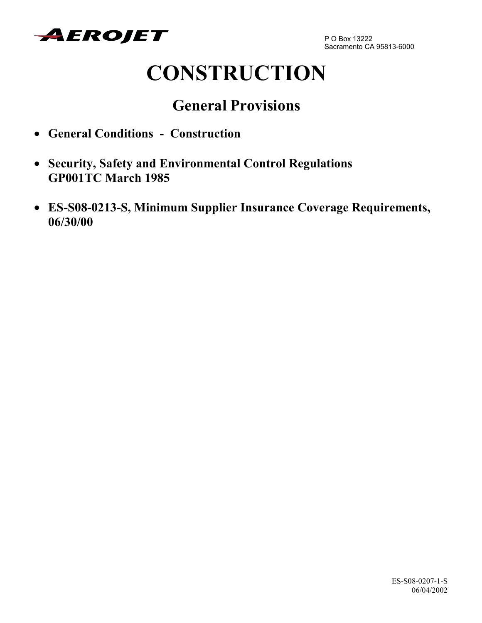

# **CONSTRUCTION**

# **General Provisions**

- **General Conditions Construction**
- **Security, Safety and Environmental Control Regulations GP001TC March 1985**
- **ES-S08-0213-S, Minimum Supplier Insurance Coverage Requirements, 06/30/00**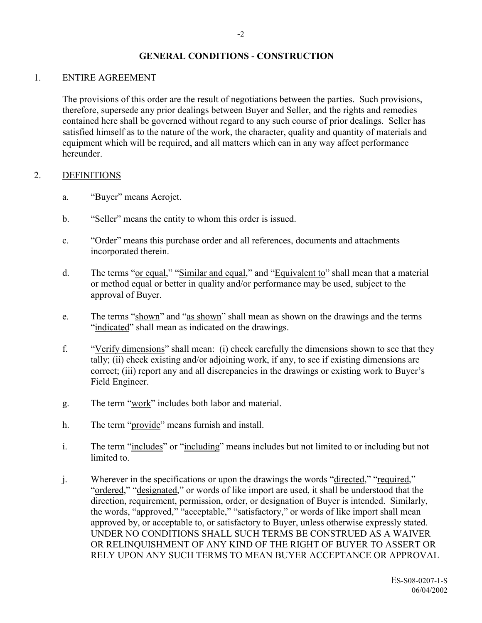#### **GENERAL CONDITIONS - CONSTRUCTION**

#### 1. ENTIRE AGREEMENT

The provisions of this order are the result of negotiations between the parties. Such provisions, therefore, supersede any prior dealings between Buyer and Seller, and the rights and remedies contained here shall be governed without regard to any such course of prior dealings. Seller has satisfied himself as to the nature of the work, the character, quality and quantity of materials and equipment which will be required, and all matters which can in any way affect performance hereunder.

#### 2. DEFINITIONS

- a. "Buyer" means Aerojet.
- b. "Seller" means the entity to whom this order is issued.
- c. <sup>"</sup>Order" means this purchase order and all references, documents and attachments incorporated therein.
- d. The terms "or equal," "Similar and equal," and "Equivalent to" shall mean that a material or method equal or better in quality and/or performance may be used, subject to the approval of Buyer.
- e. The terms "shown" and "as shown" shall mean as shown on the drawings and the terms "indicated" shall mean as indicated on the drawings.
- f. "Verify dimensions" shall mean: (i) check carefully the dimensions shown to see that they tally; (ii) check existing and/or adjoining work, if any, to see if existing dimensions are correct; (iii) report any and all discrepancies in the drawings or existing work to Buyer's Field Engineer.
- g. The term "work" includes both labor and material.
- h. The term "provide" means furnish and install.
- i. The term "includes" or "including" means includes but not limited to or including but not limited to.
- j. Wherever in the specifications or upon the drawings the words "directed," "required," "ordered," "designated," or words of like import are used, it shall be understood that the direction, requirement, permission, order, or designation of Buyer is intended. Similarly, the words, "approved," "acceptable," "satisfactory," or words of like import shall mean approved by, or acceptable to, or satisfactory to Buyer, unless otherwise expressly stated. UNDER NO CONDITIONS SHALL SUCH TERMS BE CONSTRUED AS A WAIVER OR RELINQUISHMENT OF ANY KIND OF THE RIGHT OF BUYER TO ASSERT OR RELY UPON ANY SUCH TERMS TO MEAN BUYER ACCEPTANCE OR APPROVAL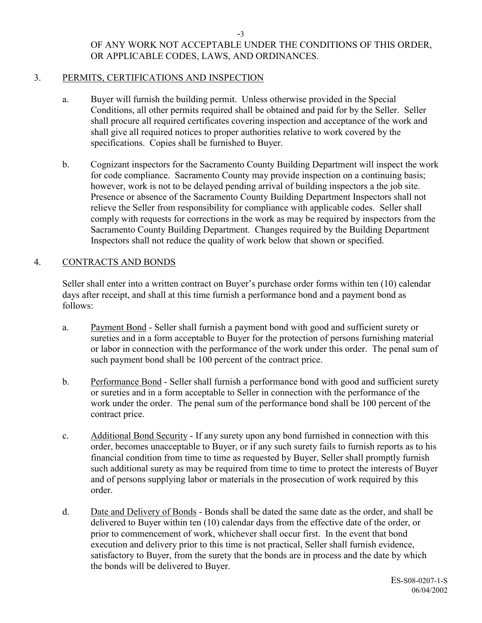# OF ANY WORK NOT ACCEPTABLE UNDER THE CONDITIONS OF THIS ORDER, OR APPLICABLE CODES, LAWS, AND ORDINANCES.

# 3. PERMITS, CERTIFICATIONS AND INSPECTION

- a. Buyer will furnish the building permit. Unless otherwise provided in the Special Conditions, all other permits required shall be obtained and paid for by the Seller. Seller shall procure all required certificates covering inspection and acceptance of the work and shall give all required notices to proper authorities relative to work covered by the specifications. Copies shall be furnished to Buyer.
- b. Cognizant inspectors for the Sacramento County Building Department will inspect the work for code compliance. Sacramento County may provide inspection on a continuing basis; however, work is not to be delayed pending arrival of building inspectors a the job site. Presence or absence of the Sacramento County Building Department Inspectors shall not relieve the Seller from responsibility for compliance with applicable codes. Seller shall comply with requests for corrections in the work as may be required by inspectors from the Sacramento County Building Department. Changes required by the Building Department Inspectors shall not reduce the quality of work below that shown or specified.

# 4. CONTRACTS AND BONDS

Seller shall enter into a written contract on Buyer's purchase order forms within ten (10) calendar days after receipt, and shall at this time furnish a performance bond and a payment bond as follows:

- a. Payment Bond Seller shall furnish a payment bond with good and sufficient surety or sureties and in a form acceptable to Buyer for the protection of persons furnishing material or labor in connection with the performance of the work under this order. The penal sum of such payment bond shall be 100 percent of the contract price.
- b. Performance Bond Seller shall furnish a performance bond with good and sufficient surety or sureties and in a form acceptable to Seller in connection with the performance of the work under the order. The penal sum of the performance bond shall be 100 percent of the contract price.
- c. Additional Bond Security If any surety upon any bond furnished in connection with this order, becomes unacceptable to Buyer, or if any such surety fails to furnish reports as to his financial condition from time to time as requested by Buyer, Seller shall promptly furnish such additional surety as may be required from time to time to protect the interests of Buyer and of persons supplying labor or materials in the prosecution of work required by this order.
- d. Date and Delivery of Bonds Bonds shall be dated the same date as the order, and shall be delivered to Buyer within ten (10) calendar days from the effective date of the order, or prior to commencement of work, whichever shall occur first. In the event that bond execution and delivery prior to this time is not practical, Seller shall furnish evidence, satisfactory to Buyer, from the surety that the bonds are in process and the date by which the bonds will be delivered to Buyer.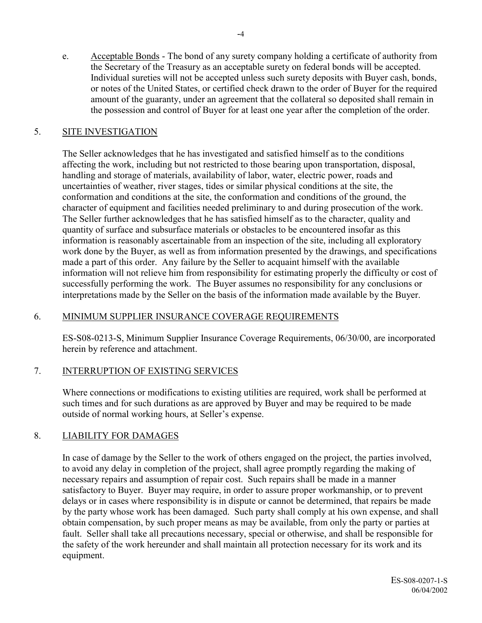e. Acceptable Bonds - The bond of any surety company holding a certificate of authority from the Secretary of the Treasury as an acceptable surety on federal bonds will be accepted. Individual sureties will not be accepted unless such surety deposits with Buyer cash, bonds, or notes of the United States, or certified check drawn to the order of Buyer for the required amount of the guaranty, under an agreement that the collateral so deposited shall remain in the possession and control of Buyer for at least one year after the completion of the order.

#### 5. SITE INVESTIGATION

The Seller acknowledges that he has investigated and satisfied himself as to the conditions affecting the work, including but not restricted to those bearing upon transportation, disposal, handling and storage of materials, availability of labor, water, electric power, roads and uncertainties of weather, river stages, tides or similar physical conditions at the site, the conformation and conditions at the site, the conformation and conditions of the ground, the character of equipment and facilities needed preliminary to and during prosecution of the work. The Seller further acknowledges that he has satisfied himself as to the character, quality and quantity of surface and subsurface materials or obstacles to be encountered insofar as this information is reasonably ascertainable from an inspection of the site, including all exploratory work done by the Buyer, as well as from information presented by the drawings, and specifications made a part of this order. Any failure by the Seller to acquaint himself with the available information will not relieve him from responsibility for estimating properly the difficulty or cost of successfully performing the work. The Buyer assumes no responsibility for any conclusions or interpretations made by the Seller on the basis of the information made available by the Buyer.

#### 6. MINIMUM SUPPLIER INSURANCE COVERAGE REQUIREMENTS

ES-S08-0213-S, Minimum Supplier Insurance Coverage Requirements, 06/30/00, are incorporated herein by reference and attachment.

# 7. INTERRUPTION OF EXISTING SERVICES

Where connections or modifications to existing utilities are required, work shall be performed at such times and for such durations as are approved by Buyer and may be required to be made outside of normal working hours, at Seller's expense.

# 8. LIABILITY FOR DAMAGES

In case of damage by the Seller to the work of others engaged on the project, the parties involved, to avoid any delay in completion of the project, shall agree promptly regarding the making of necessary repairs and assumption of repair cost. Such repairs shall be made in a manner satisfactory to Buyer. Buyer may require, in order to assure proper workmanship, or to prevent delays or in cases where responsibility is in dispute or cannot be determined, that repairs be made by the party whose work has been damaged. Such party shall comply at his own expense, and shall obtain compensation, by such proper means as may be available, from only the party or parties at fault. Seller shall take all precautions necessary, special or otherwise, and shall be responsible for the safety of the work hereunder and shall maintain all protection necessary for its work and its equipment.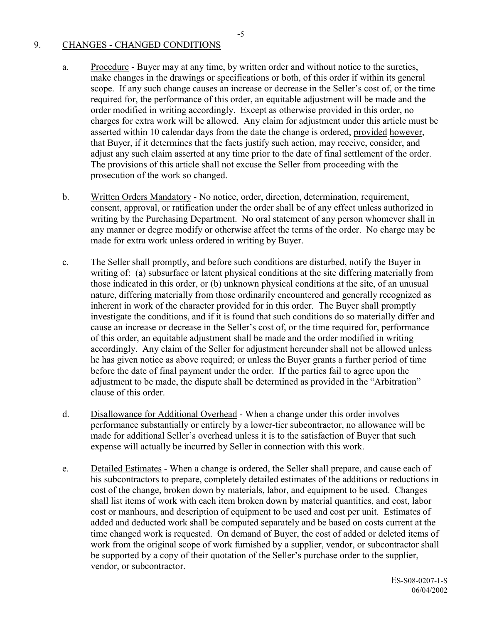#### 9. CHANGES - CHANGED CONDITIONS

- a. Procedure Buyer may at any time, by written order and without notice to the sureties, make changes in the drawings or specifications or both, of this order if within its general scope. If any such change causes an increase or decrease in the Seller's cost of, or the time required for, the performance of this order, an equitable adjustment will be made and the order modified in writing accordingly. Except as otherwise provided in this order, no charges for extra work will be allowed. Any claim for adjustment under this article must be asserted within 10 calendar days from the date the change is ordered, provided however, that Buyer, if it determines that the facts justify such action, may receive, consider, and adjust any such claim asserted at any time prior to the date of final settlement of the order. The provisions of this article shall not excuse the Seller from proceeding with the prosecution of the work so changed.
- b. Written Orders Mandatory No notice, order, direction, determination, requirement, consent, approval, or ratification under the order shall be of any effect unless authorized in writing by the Purchasing Department. No oral statement of any person whomever shall in any manner or degree modify or otherwise affect the terms of the order. No charge may be made for extra work unless ordered in writing by Buyer.
- c. The Seller shall promptly, and before such conditions are disturbed, notify the Buyer in writing of: (a) subsurface or latent physical conditions at the site differing materially from those indicated in this order, or (b) unknown physical conditions at the site, of an unusual nature, differing materially from those ordinarily encountered and generally recognized as inherent in work of the character provided for in this order. The Buyer shall promptly investigate the conditions, and if it is found that such conditions do so materially differ and cause an increase or decrease in the Seller's cost of, or the time required for, performance of this order, an equitable adjustment shall be made and the order modified in writing accordingly. Any claim of the Seller for adjustment hereunder shall not be allowed unless he has given notice as above required; or unless the Buyer grants a further period of time before the date of final payment under the order. If the parties fail to agree upon the adjustment to be made, the dispute shall be determined as provided in the "Arbitration" clause of this order.
- d. Disallowance for Additional Overhead When a change under this order involves performance substantially or entirely by a lower-tier subcontractor, no allowance will be made for additional Seller's overhead unless it is to the satisfaction of Buyer that such expense will actually be incurred by Seller in connection with this work.
- e. Detailed Estimates When a change is ordered, the Seller shall prepare, and cause each of his subcontractors to prepare, completely detailed estimates of the additions or reductions in cost of the change, broken down by materials, labor, and equipment to be used. Changes shall list items of work with each item broken down by material quantities, and cost, labor cost or manhours, and description of equipment to be used and cost per unit. Estimates of added and deducted work shall be computed separately and be based on costs current at the time changed work is requested. On demand of Buyer, the cost of added or deleted items of work from the original scope of work furnished by a supplier, vendor, or subcontractor shall be supported by a copy of their quotation of the Seller's purchase order to the supplier, vendor, or subcontractor.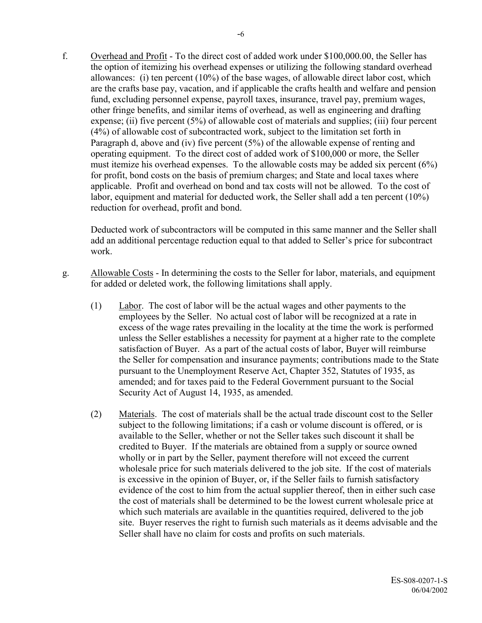f. Overhead and Profit - To the direct cost of added work under \$100,000.00, the Seller has the option of itemizing his overhead expenses or utilizing the following standard overhead allowances: (i) ten percent (10%) of the base wages, of allowable direct labor cost, which are the crafts base pay, vacation, and if applicable the crafts health and welfare and pension fund, excluding personnel expense, payroll taxes, insurance, travel pay, premium wages, other fringe benefits, and similar items of overhead, as well as engineering and drafting expense; (ii) five percent (5%) of allowable cost of materials and supplies; (iii) four percent (4%) of allowable cost of subcontracted work, subject to the limitation set forth in Paragraph d, above and (iv) five percent (5%) of the allowable expense of renting and operating equipment. To the direct cost of added work of \$100,000 or more, the Seller must itemize his overhead expenses. To the allowable costs may be added six percent (6%) for profit, bond costs on the basis of premium charges; and State and local taxes where applicable. Profit and overhead on bond and tax costs will not be allowed. To the cost of labor, equipment and material for deducted work, the Seller shall add a ten percent (10%)

Deducted work of subcontractors will be computed in this same manner and the Seller shall add an additional percentage reduction equal to that added to Seller's price for subcontract work.

g. Allowable Costs - In determining the costs to the Seller for labor, materials, and equipment for added or deleted work, the following limitations shall apply.

reduction for overhead, profit and bond.

- (1) Labor. The cost of labor will be the actual wages and other payments to the employees by the Seller. No actual cost of labor will be recognized at a rate in excess of the wage rates prevailing in the locality at the time the work is performed unless the Seller establishes a necessity for payment at a higher rate to the complete satisfaction of Buyer. As a part of the actual costs of labor, Buyer will reimburse the Seller for compensation and insurance payments; contributions made to the State pursuant to the Unemployment Reserve Act, Chapter 352, Statutes of 1935, as amended; and for taxes paid to the Federal Government pursuant to the Social Security Act of August 14, 1935, as amended.
- (2) Materials. The cost of materials shall be the actual trade discount cost to the Seller subject to the following limitations; if a cash or volume discount is offered, or is available to the Seller, whether or not the Seller takes such discount it shall be credited to Buyer. If the materials are obtained from a supply or source owned wholly or in part by the Seller, payment therefore will not exceed the current wholesale price for such materials delivered to the job site. If the cost of materials is excessive in the opinion of Buyer, or, if the Seller fails to furnish satisfactory evidence of the cost to him from the actual supplier thereof, then in either such case the cost of materials shall be determined to be the lowest current wholesale price at which such materials are available in the quantities required, delivered to the job site. Buyer reserves the right to furnish such materials as it deems advisable and the Seller shall have no claim for costs and profits on such materials.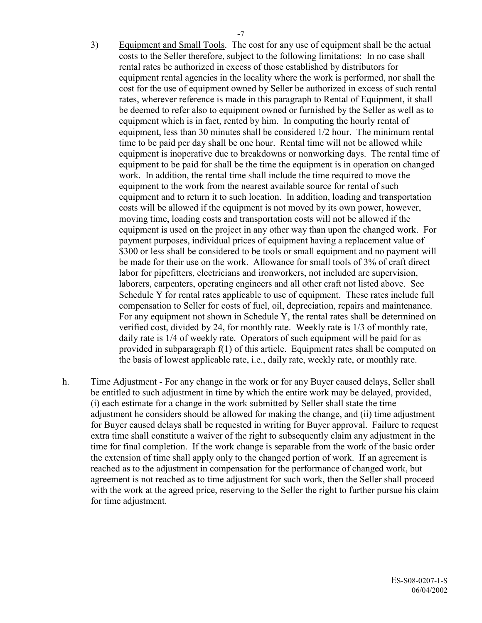- 3) Equipment and Small Tools. The cost for any use of equipment shall be the actual costs to the Seller therefore, subject to the following limitations: In no case shall rental rates be authorized in excess of those established by distributors for equipment rental agencies in the locality where the work is performed, nor shall the cost for the use of equipment owned by Seller be authorized in excess of such rental rates, wherever reference is made in this paragraph to Rental of Equipment, it shall be deemed to refer also to equipment owned or furnished by the Seller as well as to equipment which is in fact, rented by him. In computing the hourly rental of equipment, less than 30 minutes shall be considered 1/2 hour. The minimum rental time to be paid per day shall be one hour. Rental time will not be allowed while equipment is inoperative due to breakdowns or nonworking days. The rental time of equipment to be paid for shall be the time the equipment is in operation on changed work. In addition, the rental time shall include the time required to move the equipment to the work from the nearest available source for rental of such equipment and to return it to such location. In addition, loading and transportation costs will be allowed if the equipment is not moved by its own power, however, moving time, loading costs and transportation costs will not be allowed if the equipment is used on the project in any other way than upon the changed work. For payment purposes, individual prices of equipment having a replacement value of \$300 or less shall be considered to be tools or small equipment and no payment will be made for their use on the work. Allowance for small tools of 3% of craft direct labor for pipefitters, electricians and ironworkers, not included are supervision, laborers, carpenters, operating engineers and all other craft not listed above. See Schedule Y for rental rates applicable to use of equipment. These rates include full compensation to Seller for costs of fuel, oil, depreciation, repairs and maintenance. For any equipment not shown in Schedule Y, the rental rates shall be determined on verified cost, divided by 24, for monthly rate. Weekly rate is 1/3 of monthly rate, daily rate is 1/4 of weekly rate. Operators of such equipment will be paid for as provided in subparagraph f(1) of this article. Equipment rates shall be computed on the basis of lowest applicable rate, i.e., daily rate, weekly rate, or monthly rate.
- h. Time Adjustment For any change in the work or for any Buyer caused delays, Seller shall be entitled to such adjustment in time by which the entire work may be delayed, provided, (i) each estimate for a change in the work submitted by Seller shall state the time adjustment he considers should be allowed for making the change, and (ii) time adjustment for Buyer caused delays shall be requested in writing for Buyer approval. Failure to request extra time shall constitute a waiver of the right to subsequently claim any adjustment in the time for final completion. If the work change is separable from the work of the basic order the extension of time shall apply only to the changed portion of work. If an agreement is reached as to the adjustment in compensation for the performance of changed work, but agreement is not reached as to time adjustment for such work, then the Seller shall proceed with the work at the agreed price, reserving to the Seller the right to further pursue his claim for time adjustment.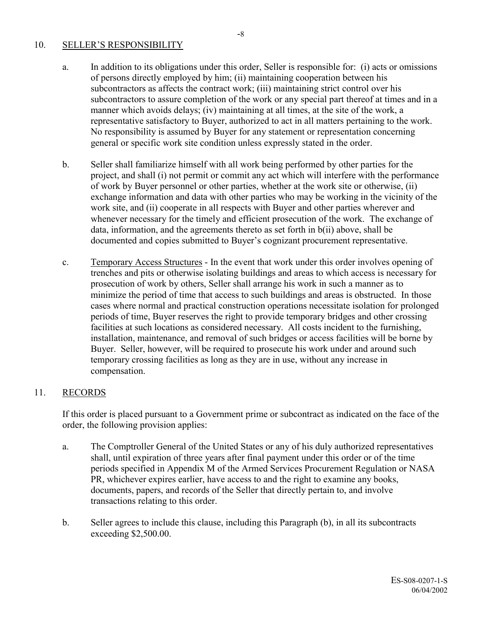#### 10. SELLER'S RESPONSIBILITY

- a. In addition to its obligations under this order, Seller is responsible for: (i) acts or omissions of persons directly employed by him; (ii) maintaining cooperation between his subcontractors as affects the contract work; (iii) maintaining strict control over his subcontractors to assure completion of the work or any special part thereof at times and in a manner which avoids delays; (iv) maintaining at all times, at the site of the work, a representative satisfactory to Buyer, authorized to act in all matters pertaining to the work. No responsibility is assumed by Buyer for any statement or representation concerning general or specific work site condition unless expressly stated in the order.
- b. Seller shall familiarize himself with all work being performed by other parties for the project, and shall (i) not permit or commit any act which will interfere with the performance of work by Buyer personnel or other parties, whether at the work site or otherwise, (ii) exchange information and data with other parties who may be working in the vicinity of the work site, and (ii) cooperate in all respects with Buyer and other parties wherever and whenever necessary for the timely and efficient prosecution of the work. The exchange of data, information, and the agreements thereto as set forth in b(ii) above, shall be documented and copies submitted to Buyer's cognizant procurement representative.
- c. Temporary Access Structures In the event that work under this order involves opening of trenches and pits or otherwise isolating buildings and areas to which access is necessary for prosecution of work by others, Seller shall arrange his work in such a manner as to minimize the period of time that access to such buildings and areas is obstructed. In those cases where normal and practical construction operations necessitate isolation for prolonged periods of time, Buyer reserves the right to provide temporary bridges and other crossing facilities at such locations as considered necessary. All costs incident to the furnishing, installation, maintenance, and removal of such bridges or access facilities will be borne by Buyer. Seller, however, will be required to prosecute his work under and around such temporary crossing facilities as long as they are in use, without any increase in compensation.

# 11. RECORDS

If this order is placed pursuant to a Government prime or subcontract as indicated on the face of the order, the following provision applies:

- a. The Comptroller General of the United States or any of his duly authorized representatives shall, until expiration of three years after final payment under this order or of the time periods specified in Appendix M of the Armed Services Procurement Regulation or NASA PR, whichever expires earlier, have access to and the right to examine any books, documents, papers, and records of the Seller that directly pertain to, and involve transactions relating to this order.
- b. Seller agrees to include this clause, including this Paragraph (b), in all its subcontracts exceeding \$2,500.00.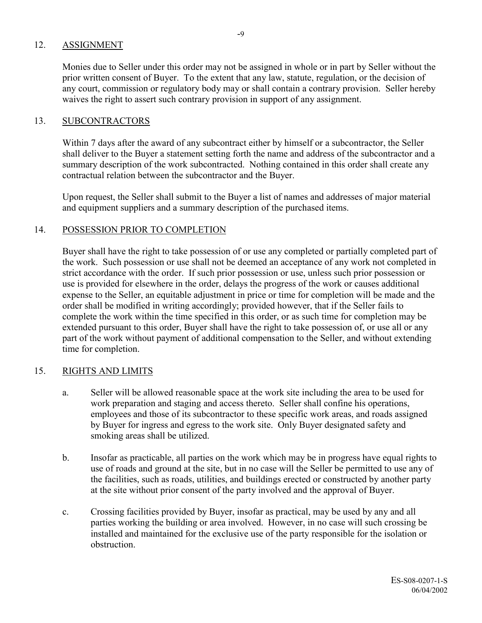#### 12. ASSIGNMENT

Monies due to Seller under this order may not be assigned in whole or in part by Seller without the prior written consent of Buyer. To the extent that any law, statute, regulation, or the decision of any court, commission or regulatory body may or shall contain a contrary provision. Seller hereby waives the right to assert such contrary provision in support of any assignment.

#### 13. SUBCONTRACTORS

Within 7 days after the award of any subcontract either by himself or a subcontractor, the Seller shall deliver to the Buyer a statement setting forth the name and address of the subcontractor and a summary description of the work subcontracted. Nothing contained in this order shall create any contractual relation between the subcontractor and the Buyer.

Upon request, the Seller shall submit to the Buyer a list of names and addresses of major material and equipment suppliers and a summary description of the purchased items.

#### 14. POSSESSION PRIOR TO COMPLETION

Buyer shall have the right to take possession of or use any completed or partially completed part of the work. Such possession or use shall not be deemed an acceptance of any work not completed in strict accordance with the order. If such prior possession or use, unless such prior possession or use is provided for elsewhere in the order, delays the progress of the work or causes additional expense to the Seller, an equitable adjustment in price or time for completion will be made and the order shall be modified in writing accordingly; provided however, that if the Seller fails to complete the work within the time specified in this order, or as such time for completion may be extended pursuant to this order, Buyer shall have the right to take possession of, or use all or any part of the work without payment of additional compensation to the Seller, and without extending time for completion.

#### 15. RIGHTS AND LIMITS

- a. Seller will be allowed reasonable space at the work site including the area to be used for work preparation and staging and access thereto. Seller shall confine his operations, employees and those of its subcontractor to these specific work areas, and roads assigned by Buyer for ingress and egress to the work site. Only Buyer designated safety and smoking areas shall be utilized.
- b. Insofar as practicable, all parties on the work which may be in progress have equal rights to use of roads and ground at the site, but in no case will the Seller be permitted to use any of the facilities, such as roads, utilities, and buildings erected or constructed by another party at the site without prior consent of the party involved and the approval of Buyer.
- c. Crossing facilities provided by Buyer, insofar as practical, may be used by any and all parties working the building or area involved. However, in no case will such crossing be installed and maintained for the exclusive use of the party responsible for the isolation or obstruction.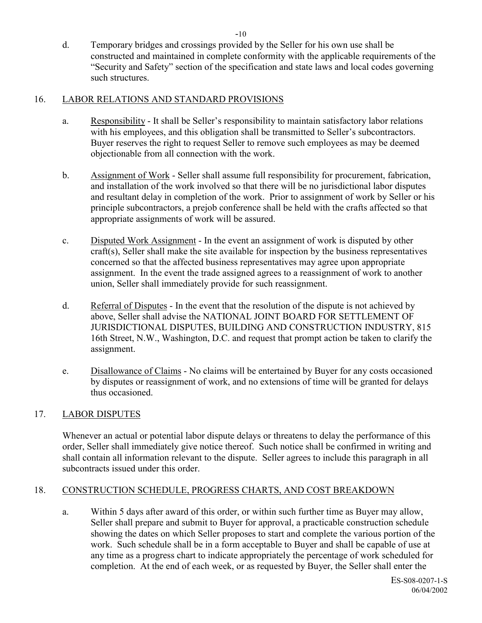d. Temporary bridges and crossings provided by the Seller for his own use shall be constructed and maintained in complete conformity with the applicable requirements of the ìSecurity and Safetyî section of the specification and state laws and local codes governing such structures.

#### 16. LABOR RELATIONS AND STANDARD PROVISIONS

- a. Responsibility It shall be Seller's responsibility to maintain satisfactory labor relations with his employees, and this obligation shall be transmitted to Seller's subcontractors. Buyer reserves the right to request Seller to remove such employees as may be deemed objectionable from all connection with the work.
- b. Assignment of Work Seller shall assume full responsibility for procurement, fabrication, and installation of the work involved so that there will be no jurisdictional labor disputes and resultant delay in completion of the work. Prior to assignment of work by Seller or his principle subcontractors, a prejob conference shall be held with the crafts affected so that appropriate assignments of work will be assured.
- c. Disputed Work Assignment In the event an assignment of work is disputed by other craft(s), Seller shall make the site available for inspection by the business representatives concerned so that the affected business representatives may agree upon appropriate assignment. In the event the trade assigned agrees to a reassignment of work to another union, Seller shall immediately provide for such reassignment.
- d. Referral of Disputes In the event that the resolution of the dispute is not achieved by above, Seller shall advise the NATIONAL JOINT BOARD FOR SETTLEMENT OF JURISDICTIONAL DISPUTES, BUILDING AND CONSTRUCTION INDUSTRY, 815 16th Street, N.W., Washington, D.C. and request that prompt action be taken to clarify the assignment.
- e. Disallowance of Claims No claims will be entertained by Buyer for any costs occasioned by disputes or reassignment of work, and no extensions of time will be granted for delays thus occasioned.

#### 17. LABOR DISPUTES

Whenever an actual or potential labor dispute delays or threatens to delay the performance of this order, Seller shall immediately give notice thereof. Such notice shall be confirmed in writing and shall contain all information relevant to the dispute. Seller agrees to include this paragraph in all subcontracts issued under this order.

# 18. CONSTRUCTION SCHEDULE, PROGRESS CHARTS, AND COST BREAKDOWN

a. Within 5 days after award of this order, or within such further time as Buyer may allow, Seller shall prepare and submit to Buyer for approval, a practicable construction schedule showing the dates on which Seller proposes to start and complete the various portion of the work. Such schedule shall be in a form acceptable to Buyer and shall be capable of use at any time as a progress chart to indicate appropriately the percentage of work scheduled for completion. At the end of each week, or as requested by Buyer, the Seller shall enter the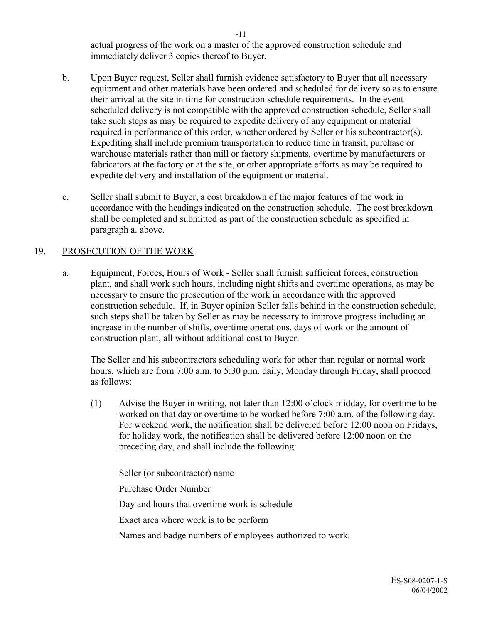actual progress of the work on a master of the approved construction schedule and immediately deliver 3 copies thereof to Buyer.

- b. Upon Buyer request, Seller shall furnish evidence satisfactory to Buyer that all necessary equipment and other materials have been ordered and scheduled for delivery so as to ensure their arrival at the site in time for construction schedule requirements. In the event scheduled delivery is not compatible with the approved construction schedule, Seller shall take such steps as may be required to expedite delivery of any equipment or material required in performance of this order, whether ordered by Seller or his subcontractor(s). Expediting shall include premium transportation to reduce time in transit, purchase or warehouse materials rather than mill or factory shipments, overtime by manufacturers or fabricators at the factory or at the site, or other appropriate efforts as may be required to expedite delivery and installation of the equipment or material.
- c. Seller shall submit to Buyer, a cost breakdown of the major features of the work in accordance with the headings indicated on the construction schedule. The cost breakdown shall be completed and submitted as part of the construction schedule as specified in paragraph a. above.

# 19. PROSECUTION OF THE WORK

a. Equipment, Forces, Hours of Work - Seller shall furnish sufficient forces, construction plant, and shall work such hours, including night shifts and overtime operations, as may be necessary to ensure the prosecution of the work in accordance with the approved construction schedule. If, in Buyer opinion Seller falls behind in the construction schedule, such steps shall be taken by Seller as may be necessary to improve progress including an increase in the number of shifts, overtime operations, days of work or the amount of construction plant, all without additional cost to Buyer.

The Seller and his subcontractors scheduling work for other than regular or normal work hours, which are from 7:00 a.m. to 5:30 p.m. daily, Monday through Friday, shall proceed as follows:

(1) Advise the Buyer in writing, not later than  $12:00$  o'clock midday, for overtime to be worked on that day or overtime to be worked before 7:00 a.m. of the following day. For weekend work, the notification shall be delivered before 12:00 noon on Fridays, for holiday work, the notification shall be delivered before 12:00 noon on the preceding day, and shall include the following:

Seller (or subcontractor) name

Purchase Order Number

Day and hours that overtime work is schedule

Exact area where work is to be perform

Names and badge numbers of employees authorized to work.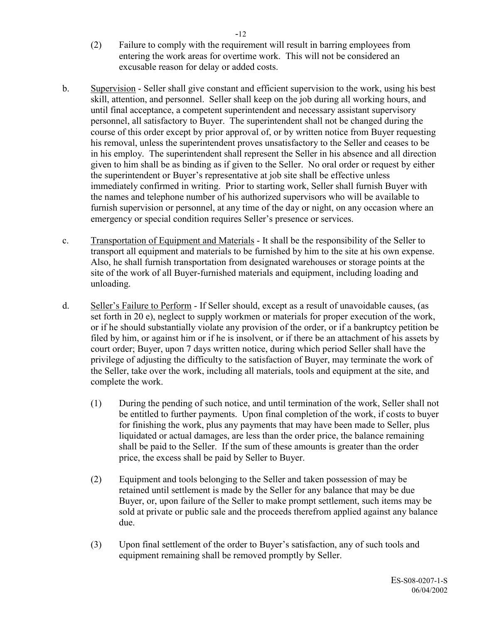- (2) Failure to comply with the requirement will result in barring employees from entering the work areas for overtime work. This will not be considered an excusable reason for delay or added costs.
- b. Supervision Seller shall give constant and efficient supervision to the work, using his best skill, attention, and personnel. Seller shall keep on the job during all working hours, and until final acceptance, a competent superintendent and necessary assistant supervisory personnel, all satisfactory to Buyer. The superintendent shall not be changed during the course of this order except by prior approval of, or by written notice from Buyer requesting his removal, unless the superintendent proves unsatisfactory to the Seller and ceases to be in his employ. The superintendent shall represent the Seller in his absence and all direction given to him shall be as binding as if given to the Seller. No oral order or request by either the superintendent or Buyer's representative at job site shall be effective unless immediately confirmed in writing. Prior to starting work, Seller shall furnish Buyer with the names and telephone number of his authorized supervisors who will be available to furnish supervision or personnel, at any time of the day or night, on any occasion where an emergency or special condition requires Seller's presence or services.
- c. Transportation of Equipment and Materials It shall be the responsibility of the Seller to transport all equipment and materials to be furnished by him to the site at his own expense. Also, he shall furnish transportation from designated warehouses or storage points at the site of the work of all Buyer-furnished materials and equipment, including loading and unloading.
- d. Seller's Failure to Perform If Seller should, except as a result of unavoidable causes, (as set forth in 20 e), neglect to supply workmen or materials for proper execution of the work, or if he should substantially violate any provision of the order, or if a bankruptcy petition be filed by him, or against him or if he is insolvent, or if there be an attachment of his assets by court order; Buyer, upon 7 days written notice, during which period Seller shall have the privilege of adjusting the difficulty to the satisfaction of Buyer, may terminate the work of the Seller, take over the work, including all materials, tools and equipment at the site, and complete the work.
	- (1) During the pending of such notice, and until termination of the work, Seller shall not be entitled to further payments. Upon final completion of the work, if costs to buyer for finishing the work, plus any payments that may have been made to Seller, plus liquidated or actual damages, are less than the order price, the balance remaining shall be paid to the Seller. If the sum of these amounts is greater than the order price, the excess shall be paid by Seller to Buyer.
	- (2) Equipment and tools belonging to the Seller and taken possession of may be retained until settlement is made by the Seller for any balance that may be due Buyer, or, upon failure of the Seller to make prompt settlement, such items may be sold at private or public sale and the proceeds therefrom applied against any balance due.
	- (3) Upon final settlement of the order to Buyer's satisfaction, any of such tools and equipment remaining shall be removed promptly by Seller.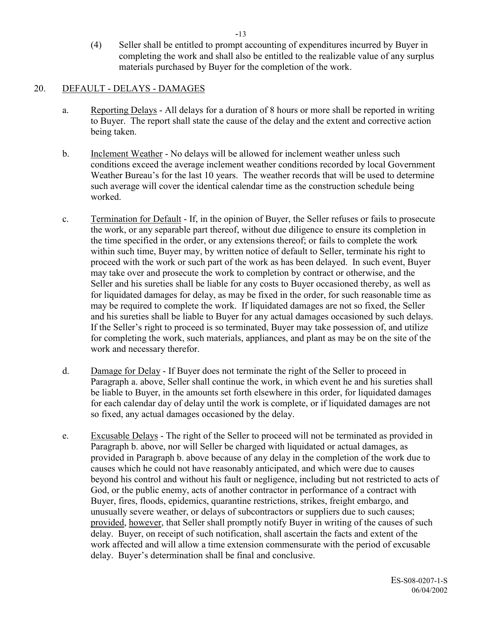(4) Seller shall be entitled to prompt accounting of expenditures incurred by Buyer in completing the work and shall also be entitled to the realizable value of any surplus materials purchased by Buyer for the completion of the work.

#### 20. DEFAULT - DELAYS - DAMAGES

- a. Reporting Delays All delays for a duration of 8 hours or more shall be reported in writing to Buyer. The report shall state the cause of the delay and the extent and corrective action being taken.
- b. Inclement Weather No delays will be allowed for inclement weather unless such conditions exceed the average inclement weather conditions recorded by local Government Weather Bureau's for the last 10 years. The weather records that will be used to determine such average will cover the identical calendar time as the construction schedule being worked.
- c. Termination for Default If, in the opinion of Buyer, the Seller refuses or fails to prosecute the work, or any separable part thereof, without due diligence to ensure its completion in the time specified in the order, or any extensions thereof; or fails to complete the work within such time, Buyer may, by written notice of default to Seller, terminate his right to proceed with the work or such part of the work as has been delayed. In such event, Buyer may take over and prosecute the work to completion by contract or otherwise, and the Seller and his sureties shall be liable for any costs to Buyer occasioned thereby, as well as for liquidated damages for delay, as may be fixed in the order, for such reasonable time as may be required to complete the work. If liquidated damages are not so fixed, the Seller and his sureties shall be liable to Buyer for any actual damages occasioned by such delays. If the Seller's right to proceed is so terminated, Buyer may take possession of, and utilize for completing the work, such materials, appliances, and plant as may be on the site of the work and necessary therefor.
- d. Damage for Delay If Buyer does not terminate the right of the Seller to proceed in Paragraph a. above, Seller shall continue the work, in which event he and his sureties shall be liable to Buyer, in the amounts set forth elsewhere in this order, for liquidated damages for each calendar day of delay until the work is complete, or if liquidated damages are not so fixed, any actual damages occasioned by the delay.
- e. Excusable Delays The right of the Seller to proceed will not be terminated as provided in Paragraph b. above, nor will Seller be charged with liquidated or actual damages, as provided in Paragraph b. above because of any delay in the completion of the work due to causes which he could not have reasonably anticipated, and which were due to causes beyond his control and without his fault or negligence, including but not restricted to acts of God, or the public enemy, acts of another contractor in performance of a contract with Buyer, fires, floods, epidemics, quarantine restrictions, strikes, freight embargo, and unusually severe weather, or delays of subcontractors or suppliers due to such causes; provided, however, that Seller shall promptly notify Buyer in writing of the causes of such delay. Buyer, on receipt of such notification, shall ascertain the facts and extent of the work affected and will allow a time extension commensurate with the period of excusable delay. Buyer's determination shall be final and conclusive.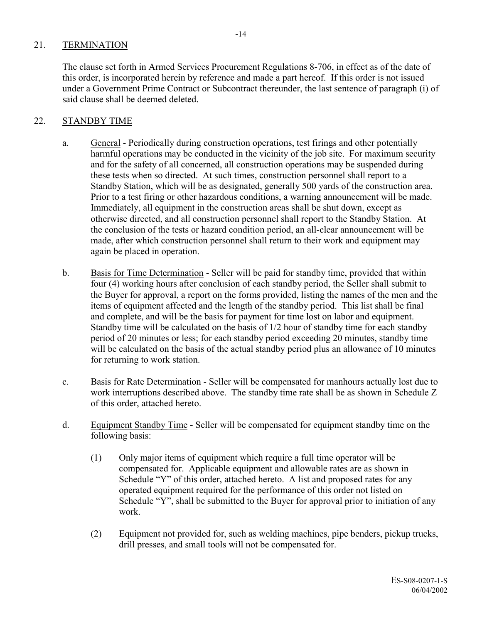# 21. TERMINATION

The clause set forth in Armed Services Procurement Regulations 8-706, in effect as of the date of this order, is incorporated herein by reference and made a part hereof. If this order is not issued under a Government Prime Contract or Subcontract thereunder, the last sentence of paragraph (i) of said clause shall be deemed deleted.

# 22. STANDBY TIME

- a. General Periodically during construction operations, test firings and other potentially harmful operations may be conducted in the vicinity of the job site. For maximum security and for the safety of all concerned, all construction operations may be suspended during these tests when so directed. At such times, construction personnel shall report to a Standby Station, which will be as designated, generally 500 yards of the construction area. Prior to a test firing or other hazardous conditions, a warning announcement will be made. Immediately, all equipment in the construction areas shall be shut down, except as otherwise directed, and all construction personnel shall report to the Standby Station. At the conclusion of the tests or hazard condition period, an all-clear announcement will be made, after which construction personnel shall return to their work and equipment may again be placed in operation.
- b. Basis for Time Determination Seller will be paid for standby time, provided that within four (4) working hours after conclusion of each standby period, the Seller shall submit to the Buyer for approval, a report on the forms provided, listing the names of the men and the items of equipment affected and the length of the standby period. This list shall be final and complete, and will be the basis for payment for time lost on labor and equipment. Standby time will be calculated on the basis of 1/2 hour of standby time for each standby period of 20 minutes or less; for each standby period exceeding 20 minutes, standby time will be calculated on the basis of the actual standby period plus an allowance of 10 minutes for returning to work station.
- c. Basis for Rate Determination Seller will be compensated for manhours actually lost due to work interruptions described above. The standby time rate shall be as shown in Schedule Z of this order, attached hereto.
- d. Equipment Standby Time Seller will be compensated for equipment standby time on the following basis:
	- (1) Only major items of equipment which require a full time operator will be compensated for. Applicable equipment and allowable rates are as shown in Schedule "Y" of this order, attached hereto. A list and proposed rates for any operated equipment required for the performance of this order not listed on Schedule "Y", shall be submitted to the Buyer for approval prior to initiation of any work.
	- (2) Equipment not provided for, such as welding machines, pipe benders, pickup trucks, drill presses, and small tools will not be compensated for.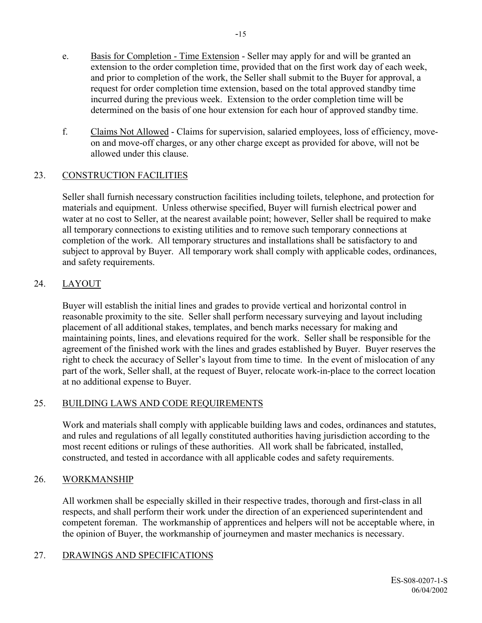- e. Basis for Completion Time Extension Seller may apply for and will be granted an extension to the order completion time, provided that on the first work day of each week, and prior to completion of the work, the Seller shall submit to the Buyer for approval, a request for order completion time extension, based on the total approved standby time incurred during the previous week. Extension to the order completion time will be determined on the basis of one hour extension for each hour of approved standby time.
- f. Claims Not Allowed Claims for supervision, salaried employees, loss of efficiency, moveon and move-off charges, or any other charge except as provided for above, will not be allowed under this clause.

# 23. CONSTRUCTION FACILITIES

Seller shall furnish necessary construction facilities including toilets, telephone, and protection for materials and equipment. Unless otherwise specified, Buyer will furnish electrical power and water at no cost to Seller, at the nearest available point; however, Seller shall be required to make all temporary connections to existing utilities and to remove such temporary connections at completion of the work. All temporary structures and installations shall be satisfactory to and subject to approval by Buyer. All temporary work shall comply with applicable codes, ordinances, and safety requirements.

# 24. LAYOUT

Buyer will establish the initial lines and grades to provide vertical and horizontal control in reasonable proximity to the site. Seller shall perform necessary surveying and layout including placement of all additional stakes, templates, and bench marks necessary for making and maintaining points, lines, and elevations required for the work. Seller shall be responsible for the agreement of the finished work with the lines and grades established by Buyer. Buyer reserves the right to check the accuracy of Seller's layout from time to time. In the event of mislocation of any part of the work, Seller shall, at the request of Buyer, relocate work-in-place to the correct location at no additional expense to Buyer.

# 25. BUILDING LAWS AND CODE REQUIREMENTS

Work and materials shall comply with applicable building laws and codes, ordinances and statutes, and rules and regulations of all legally constituted authorities having jurisdiction according to the most recent editions or rulings of these authorities. All work shall be fabricated, installed, constructed, and tested in accordance with all applicable codes and safety requirements.

# 26. WORKMANSHIP

All workmen shall be especially skilled in their respective trades, thorough and first-class in all respects, and shall perform their work under the direction of an experienced superintendent and competent foreman. The workmanship of apprentices and helpers will not be acceptable where, in the opinion of Buyer, the workmanship of journeymen and master mechanics is necessary.

# 27. DRAWINGS AND SPECIFICATIONS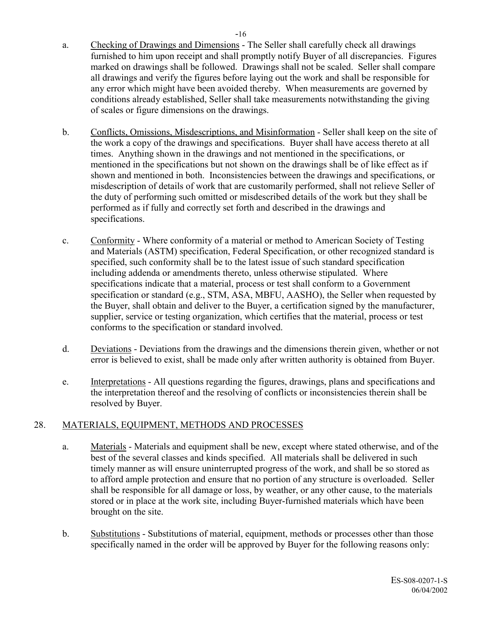- a. Checking of Drawings and Dimensions The Seller shall carefully check all drawings furnished to him upon receipt and shall promptly notify Buyer of all discrepancies. Figures marked on drawings shall be followed. Drawings shall not be scaled. Seller shall compare all drawings and verify the figures before laying out the work and shall be responsible for any error which might have been avoided thereby. When measurements are governed by conditions already established, Seller shall take measurements notwithstanding the giving of scales or figure dimensions on the drawings.
- b. Conflicts, Omissions, Misdescriptions, and Misinformation Seller shall keep on the site of the work a copy of the drawings and specifications. Buyer shall have access thereto at all times. Anything shown in the drawings and not mentioned in the specifications, or mentioned in the specifications but not shown on the drawings shall be of like effect as if shown and mentioned in both. Inconsistencies between the drawings and specifications, or misdescription of details of work that are customarily performed, shall not relieve Seller of the duty of performing such omitted or misdescribed details of the work but they shall be performed as if fully and correctly set forth and described in the drawings and specifications.
- c. Conformity Where conformity of a material or method to American Society of Testing and Materials (ASTM) specification, Federal Specification, or other recognized standard is specified, such conformity shall be to the latest issue of such standard specification including addenda or amendments thereto, unless otherwise stipulated. Where specifications indicate that a material, process or test shall conform to a Government specification or standard (e.g., STM, ASA, MBFU, AASHO), the Seller when requested by the Buyer, shall obtain and deliver to the Buyer, a certification signed by the manufacturer, supplier, service or testing organization, which certifies that the material, process or test conforms to the specification or standard involved.
- d. Deviations Deviations from the drawings and the dimensions therein given, whether or not error is believed to exist, shall be made only after written authority is obtained from Buyer.
- e. Interpretations All questions regarding the figures, drawings, plans and specifications and the interpretation thereof and the resolving of conflicts or inconsistencies therein shall be resolved by Buyer.

# 28. MATERIALS, EQUIPMENT, METHODS AND PROCESSES

- a. Materials Materials and equipment shall be new, except where stated otherwise, and of the best of the several classes and kinds specified. All materials shall be delivered in such timely manner as will ensure uninterrupted progress of the work, and shall be so stored as to afford ample protection and ensure that no portion of any structure is overloaded. Seller shall be responsible for all damage or loss, by weather, or any other cause, to the materials stored or in place at the work site, including Buyer-furnished materials which have been brought on the site.
- b. Substitutions Substitutions of material, equipment, methods or processes other than those specifically named in the order will be approved by Buyer for the following reasons only: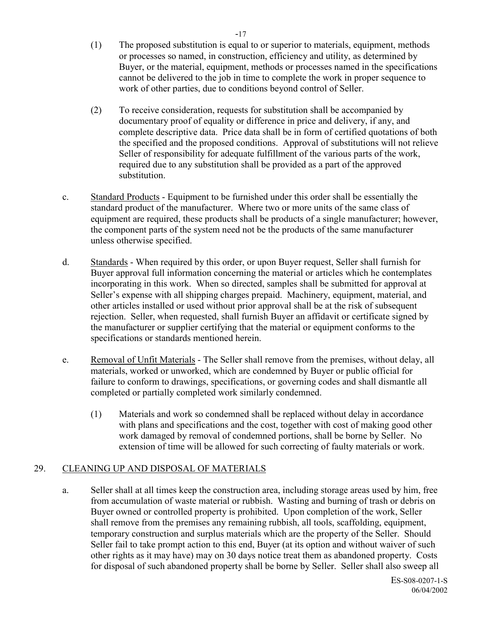- (1) The proposed substitution is equal to or superior to materials, equipment, methods or processes so named, in construction, efficiency and utility, as determined by Buyer, or the material, equipment, methods or processes named in the specifications cannot be delivered to the job in time to complete the work in proper sequence to work of other parties, due to conditions beyond control of Seller.
- (2) To receive consideration, requests for substitution shall be accompanied by documentary proof of equality or difference in price and delivery, if any, and complete descriptive data. Price data shall be in form of certified quotations of both the specified and the proposed conditions. Approval of substitutions will not relieve Seller of responsibility for adequate fulfillment of the various parts of the work, required due to any substitution shall be provided as a part of the approved substitution.
- c. Standard Products Equipment to be furnished under this order shall be essentially the standard product of the manufacturer. Where two or more units of the same class of equipment are required, these products shall be products of a single manufacturer; however, the component parts of the system need not be the products of the same manufacturer unless otherwise specified.
- d. Standards When required by this order, or upon Buyer request, Seller shall furnish for Buyer approval full information concerning the material or articles which he contemplates incorporating in this work. When so directed, samples shall be submitted for approval at Seller's expense with all shipping charges prepaid. Machinery, equipment, material, and other articles installed or used without prior approval shall be at the risk of subsequent rejection. Seller, when requested, shall furnish Buyer an affidavit or certificate signed by the manufacturer or supplier certifying that the material or equipment conforms to the specifications or standards mentioned herein.
- e. Removal of Unfit Materials The Seller shall remove from the premises, without delay, all materials, worked or unworked, which are condemned by Buyer or public official for failure to conform to drawings, specifications, or governing codes and shall dismantle all completed or partially completed work similarly condemned.
	- (1) Materials and work so condemned shall be replaced without delay in accordance with plans and specifications and the cost, together with cost of making good other work damaged by removal of condemned portions, shall be borne by Seller. No extension of time will be allowed for such correcting of faulty materials or work.

# 29. CLEANING UP AND DISPOSAL OF MATERIALS

a. Seller shall at all times keep the construction area, including storage areas used by him, free from accumulation of waste material or rubbish. Wasting and burning of trash or debris on Buyer owned or controlled property is prohibited. Upon completion of the work, Seller shall remove from the premises any remaining rubbish, all tools, scaffolding, equipment, temporary construction and surplus materials which are the property of the Seller. Should Seller fail to take prompt action to this end, Buyer (at its option and without waiver of such other rights as it may have) may on 30 days notice treat them as abandoned property. Costs for disposal of such abandoned property shall be borne by Seller. Seller shall also sweep all

> ES-S08-0207-1-S 06/04/2002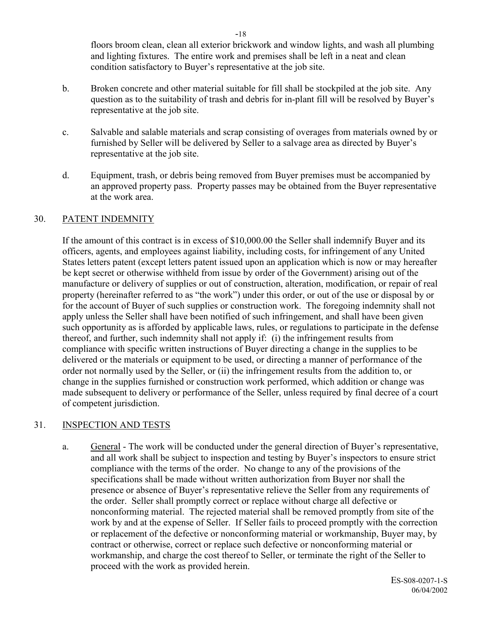floors broom clean, clean all exterior brickwork and window lights, and wash all plumbing and lighting fixtures. The entire work and premises shall be left in a neat and clean condition satisfactory to Buyer's representative at the job site.

- b. Broken concrete and other material suitable for fill shall be stockpiled at the job site. Any question as to the suitability of trash and debris for in-plant fill will be resolved by Buyer's representative at the job site.
- c. Salvable and salable materials and scrap consisting of overages from materials owned by or furnished by Seller will be delivered by Seller to a salvage area as directed by Buyer's representative at the job site.
- d. Equipment, trash, or debris being removed from Buyer premises must be accompanied by an approved property pass. Property passes may be obtained from the Buyer representative at the work area.

#### 30. PATENT INDEMNITY

If the amount of this contract is in excess of \$10,000.00 the Seller shall indemnify Buyer and its officers, agents, and employees against liability, including costs, for infringement of any United States letters patent (except letters patent issued upon an application which is now or may hereafter be kept secret or otherwise withheld from issue by order of the Government) arising out of the manufacture or delivery of supplies or out of construction, alteration, modification, or repair of real property (hereinafter referred to as "the work") under this order, or out of the use or disposal by or for the account of Buyer of such supplies or construction work. The foregoing indemnity shall not apply unless the Seller shall have been notified of such infringement, and shall have been given such opportunity as is afforded by applicable laws, rules, or regulations to participate in the defense thereof, and further, such indemnity shall not apply if: (i) the infringement results from compliance with specific written instructions of Buyer directing a change in the supplies to be delivered or the materials or equipment to be used, or directing a manner of performance of the order not normally used by the Seller, or (ii) the infringement results from the addition to, or change in the supplies furnished or construction work performed, which addition or change was made subsequent to delivery or performance of the Seller, unless required by final decree of a court of competent jurisdiction.

# 31. INSPECTION AND TESTS

a. General - The work will be conducted under the general direction of Buyer's representative, and all work shall be subject to inspection and testing by Buyer's inspectors to ensure strict compliance with the terms of the order. No change to any of the provisions of the specifications shall be made without written authorization from Buyer nor shall the presence or absence of Buyer's representative relieve the Seller from any requirements of the order. Seller shall promptly correct or replace without charge all defective or nonconforming material. The rejected material shall be removed promptly from site of the work by and at the expense of Seller. If Seller fails to proceed promptly with the correction or replacement of the defective or nonconforming material or workmanship, Buyer may, by contract or otherwise, correct or replace such defective or nonconforming material or workmanship, and charge the cost thereof to Seller, or terminate the right of the Seller to proceed with the work as provided herein.

ES-S08-0207-1-S 06/04/2002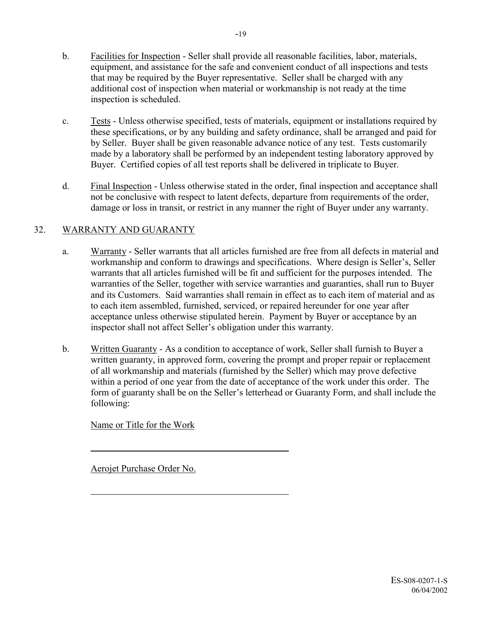- b. Facilities for Inspection Seller shall provide all reasonable facilities, labor, materials, equipment, and assistance for the safe and convenient conduct of all inspections and tests that may be required by the Buyer representative. Seller shall be charged with any additional cost of inspection when material or workmanship is not ready at the time inspection is scheduled.
- c. Tests Unless otherwise specified, tests of materials, equipment or installations required by these specifications, or by any building and safety ordinance, shall be arranged and paid for by Seller. Buyer shall be given reasonable advance notice of any test. Tests customarily made by a laboratory shall be performed by an independent testing laboratory approved by Buyer. Certified copies of all test reports shall be delivered in triplicate to Buyer.
- d. Final Inspection Unless otherwise stated in the order, final inspection and acceptance shall not be conclusive with respect to latent defects, departure from requirements of the order, damage or loss in transit, or restrict in any manner the right of Buyer under any warranty.

# 32. WARRANTY AND GUARANTY

- a. Warranty Seller warrants that all articles furnished are free from all defects in material and workmanship and conform to drawings and specifications. Where design is Seller's, Seller warrants that all articles furnished will be fit and sufficient for the purposes intended. The warranties of the Seller, together with service warranties and guaranties, shall run to Buyer and its Customers. Said warranties shall remain in effect as to each item of material and as to each item assembled, furnished, serviced, or repaired hereunder for one year after acceptance unless otherwise stipulated herein. Payment by Buyer or acceptance by an inspector shall not affect Seller's obligation under this warranty.
- b. Written Guaranty As a condition to acceptance of work, Seller shall furnish to Buyer a written guaranty, in approved form, covering the prompt and proper repair or replacement of all workmanship and materials (furnished by the Seller) which may prove defective within a period of one year from the date of acceptance of the work under this order. The form of guaranty shall be on the Seller's letterhead or Guaranty Form, and shall include the following:

Name or Title for the Work

 $\overline{a}$ 

 $\overline{a}$ 

Aerojet Purchase Order No.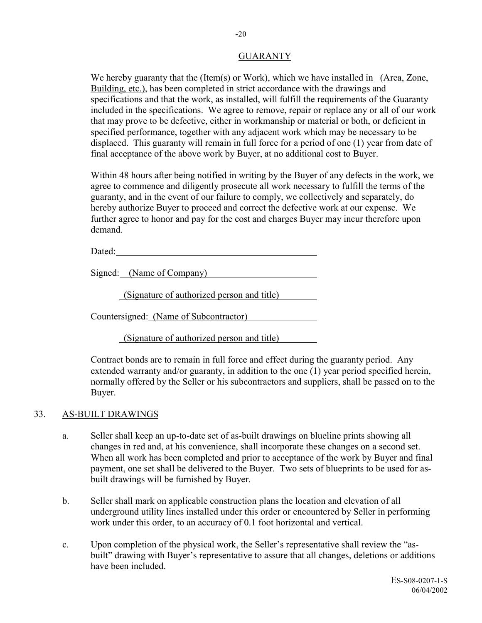#### **GUARANTY**

We hereby guaranty that the (Item(s) or Work), which we have installed in (Area, Zone, Building, etc.), has been completed in strict accordance with the drawings and specifications and that the work, as installed, will fulfill the requirements of the Guaranty included in the specifications. We agree to remove, repair or replace any or all of our work that may prove to be defective, either in workmanship or material or both, or deficient in specified performance, together with any adjacent work which may be necessary to be displaced. This guaranty will remain in full force for a period of one (1) year from date of final acceptance of the above work by Buyer, at no additional cost to Buyer.

Within 48 hours after being notified in writing by the Buyer of any defects in the work, we agree to commence and diligently prosecute all work necessary to fulfill the terms of the guaranty, and in the event of our failure to comply, we collectively and separately, do hereby authorize Buyer to proceed and correct the defective work at our expense. We further agree to honor and pay for the cost and charges Buyer may incur therefore upon demand.

Dated:

Signed: (Name of Company)

(Signature of authorized person and title)

Countersigned: (Name of Subcontractor)

(Signature of authorized person and title)

Contract bonds are to remain in full force and effect during the guaranty period. Any extended warranty and/or guaranty, in addition to the one (1) year period specified herein, normally offered by the Seller or his subcontractors and suppliers, shall be passed on to the Buyer.

#### 33. AS-BUILT DRAWINGS

- a. Seller shall keep an up-to-date set of as-built drawings on blueline prints showing all changes in red and, at his convenience, shall incorporate these changes on a second set. When all work has been completed and prior to acceptance of the work by Buyer and final payment, one set shall be delivered to the Buyer. Two sets of blueprints to be used for asbuilt drawings will be furnished by Buyer.
- b. Seller shall mark on applicable construction plans the location and elevation of all underground utility lines installed under this order or encountered by Seller in performing work under this order, to an accuracy of 0.1 foot horizontal and vertical.
- c. Upon completion of the physical work, the Seller's representative shall review the "asbuilt" drawing with Buyer's representative to assure that all changes, deletions or additions have been included.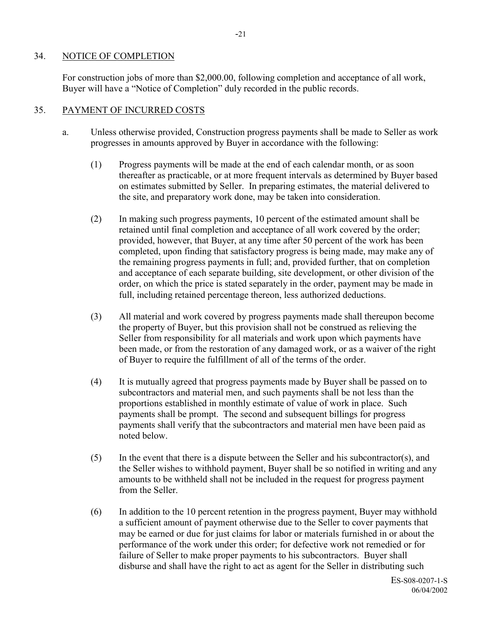#### 34. NOTICE OF COMPLETION

For construction jobs of more than \$2,000.00, following completion and acceptance of all work, Buyer will have a "Notice of Completion" duly recorded in the public records.

# 35. PAYMENT OF INCURRED COSTS

- a. Unless otherwise provided, Construction progress payments shall be made to Seller as work progresses in amounts approved by Buyer in accordance with the following:
	- (1) Progress payments will be made at the end of each calendar month, or as soon thereafter as practicable, or at more frequent intervals as determined by Buyer based on estimates submitted by Seller. In preparing estimates, the material delivered to the site, and preparatory work done, may be taken into consideration.
	- (2) In making such progress payments, 10 percent of the estimated amount shall be retained until final completion and acceptance of all work covered by the order; provided, however, that Buyer, at any time after 50 percent of the work has been completed, upon finding that satisfactory progress is being made, may make any of the remaining progress payments in full; and, provided further, that on completion and acceptance of each separate building, site development, or other division of the order, on which the price is stated separately in the order, payment may be made in full, including retained percentage thereon, less authorized deductions.
	- (3) All material and work covered by progress payments made shall thereupon become the property of Buyer, but this provision shall not be construed as relieving the Seller from responsibility for all materials and work upon which payments have been made, or from the restoration of any damaged work, or as a waiver of the right of Buyer to require the fulfillment of all of the terms of the order.
	- (4) It is mutually agreed that progress payments made by Buyer shall be passed on to subcontractors and material men, and such payments shall be not less than the proportions established in monthly estimate of value of work in place. Such payments shall be prompt. The second and subsequent billings for progress payments shall verify that the subcontractors and material men have been paid as noted below.
	- (5) In the event that there is a dispute between the Seller and his subcontractor(s), and the Seller wishes to withhold payment, Buyer shall be so notified in writing and any amounts to be withheld shall not be included in the request for progress payment from the Seller.
	- (6) In addition to the 10 percent retention in the progress payment, Buyer may withhold a sufficient amount of payment otherwise due to the Seller to cover payments that may be earned or due for just claims for labor or materials furnished in or about the performance of the work under this order; for defective work not remedied or for failure of Seller to make proper payments to his subcontractors. Buyer shall disburse and shall have the right to act as agent for the Seller in distributing such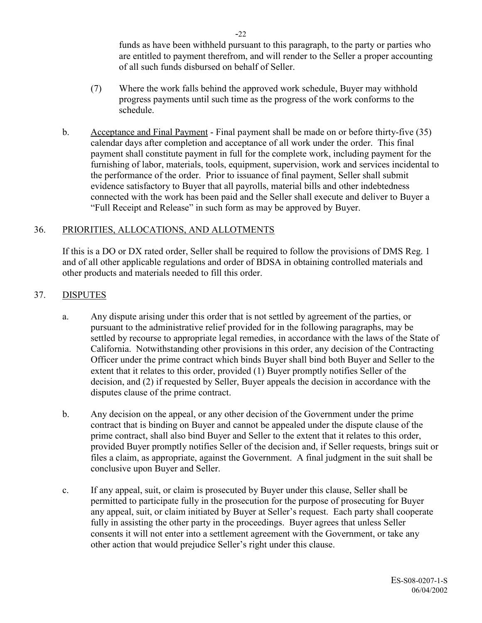funds as have been withheld pursuant to this paragraph, to the party or parties who are entitled to payment therefrom, and will render to the Seller a proper accounting of all such funds disbursed on behalf of Seller.

- (7) Where the work falls behind the approved work schedule, Buyer may withhold progress payments until such time as the progress of the work conforms to the schedule.
- b. Acceptance and Final Payment Final payment shall be made on or before thirty-five (35) calendar days after completion and acceptance of all work under the order. This final payment shall constitute payment in full for the complete work, including payment for the furnishing of labor, materials, tools, equipment, supervision, work and services incidental to the performance of the order. Prior to issuance of final payment, Seller shall submit evidence satisfactory to Buyer that all payrolls, material bills and other indebtedness connected with the work has been paid and the Seller shall execute and deliver to Buyer a "Full Receipt and Release" in such form as may be approved by Buyer.

#### 36. PRIORITIES, ALLOCATIONS, AND ALLOTMENTS

If this is a DO or DX rated order, Seller shall be required to follow the provisions of DMS Reg. 1 and of all other applicable regulations and order of BDSA in obtaining controlled materials and other products and materials needed to fill this order.

#### 37. DISPUTES

- a. Any dispute arising under this order that is not settled by agreement of the parties, or pursuant to the administrative relief provided for in the following paragraphs, may be settled by recourse to appropriate legal remedies, in accordance with the laws of the State of California. Notwithstanding other provisions in this order, any decision of the Contracting Officer under the prime contract which binds Buyer shall bind both Buyer and Seller to the extent that it relates to this order, provided (1) Buyer promptly notifies Seller of the decision, and (2) if requested by Seller, Buyer appeals the decision in accordance with the disputes clause of the prime contract.
- b. Any decision on the appeal, or any other decision of the Government under the prime contract that is binding on Buyer and cannot be appealed under the dispute clause of the prime contract, shall also bind Buyer and Seller to the extent that it relates to this order, provided Buyer promptly notifies Seller of the decision and, if Seller requests, brings suit or files a claim, as appropriate, against the Government. A final judgment in the suit shall be conclusive upon Buyer and Seller.
- c. If any appeal, suit, or claim is prosecuted by Buyer under this clause, Seller shall be permitted to participate fully in the prosecution for the purpose of prosecuting for Buyer any appeal, suit, or claim initiated by Buyer at Seller's request. Each party shall cooperate fully in assisting the other party in the proceedings. Buyer agrees that unless Seller consents it will not enter into a settlement agreement with the Government, or take any other action that would prejudice Seller's right under this clause.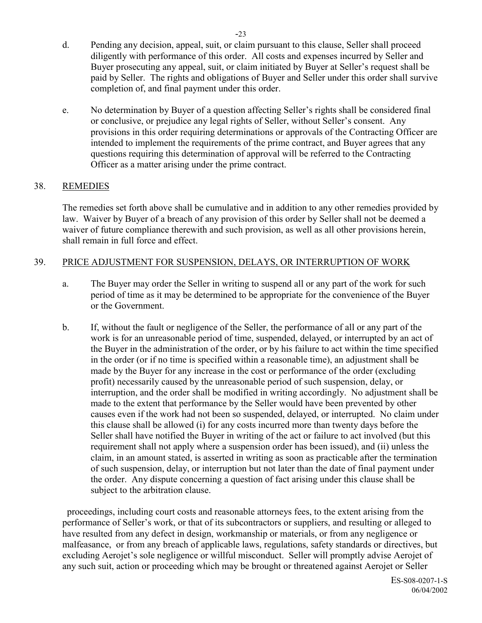- d. Pending any decision, appeal, suit, or claim pursuant to this clause, Seller shall proceed diligently with performance of this order. All costs and expenses incurred by Seller and Buyer prosecuting any appeal, suit, or claim initiated by Buyer at Seller's request shall be paid by Seller. The rights and obligations of Buyer and Seller under this order shall survive completion of, and final payment under this order.
- e. No determination by Buyer of a question affecting Seller's rights shall be considered final or conclusive, or prejudice any legal rights of Seller, without Seller's consent. Any provisions in this order requiring determinations or approvals of the Contracting Officer are intended to implement the requirements of the prime contract, and Buyer agrees that any questions requiring this determination of approval will be referred to the Contracting Officer as a matter arising under the prime contract.

# 38. REMEDIES

The remedies set forth above shall be cumulative and in addition to any other remedies provided by law. Waiver by Buyer of a breach of any provision of this order by Seller shall not be deemed a waiver of future compliance therewith and such provision, as well as all other provisions herein, shall remain in full force and effect.

#### 39. PRICE ADJUSTMENT FOR SUSPENSION, DELAYS, OR INTERRUPTION OF WORK

- a. The Buyer may order the Seller in writing to suspend all or any part of the work for such period of time as it may be determined to be appropriate for the convenience of the Buyer or the Government.
- b. If, without the fault or negligence of the Seller, the performance of all or any part of the work is for an unreasonable period of time, suspended, delayed, or interrupted by an act of the Buyer in the administration of the order, or by his failure to act within the time specified in the order (or if no time is specified within a reasonable time), an adjustment shall be made by the Buyer for any increase in the cost or performance of the order (excluding profit) necessarily caused by the unreasonable period of such suspension, delay, or interruption, and the order shall be modified in writing accordingly. No adjustment shall be made to the extent that performance by the Seller would have been prevented by other causes even if the work had not been so suspended, delayed, or interrupted. No claim under this clause shall be allowed (i) for any costs incurred more than twenty days before the Seller shall have notified the Buyer in writing of the act or failure to act involved (but this requirement shall not apply where a suspension order has been issued), and (ii) unless the claim, in an amount stated, is asserted in writing as soon as practicable after the termination of such suspension, delay, or interruption but not later than the date of final payment under the order. Any dispute concerning a question of fact arising under this clause shall be subject to the arbitration clause.

 proceedings, including court costs and reasonable attorneys fees, to the extent arising from the performance of Seller's work, or that of its subcontractors or suppliers, and resulting or alleged to have resulted from any defect in design, workmanship or materials, or from any negligence or malfeasance, or from any breach of applicable laws, regulations, safety standards or directives, but excluding Aerojet's sole negligence or willful misconduct. Seller will promptly advise Aerojet of any such suit, action or proceeding which may be brought or threatened against Aerojet or Seller